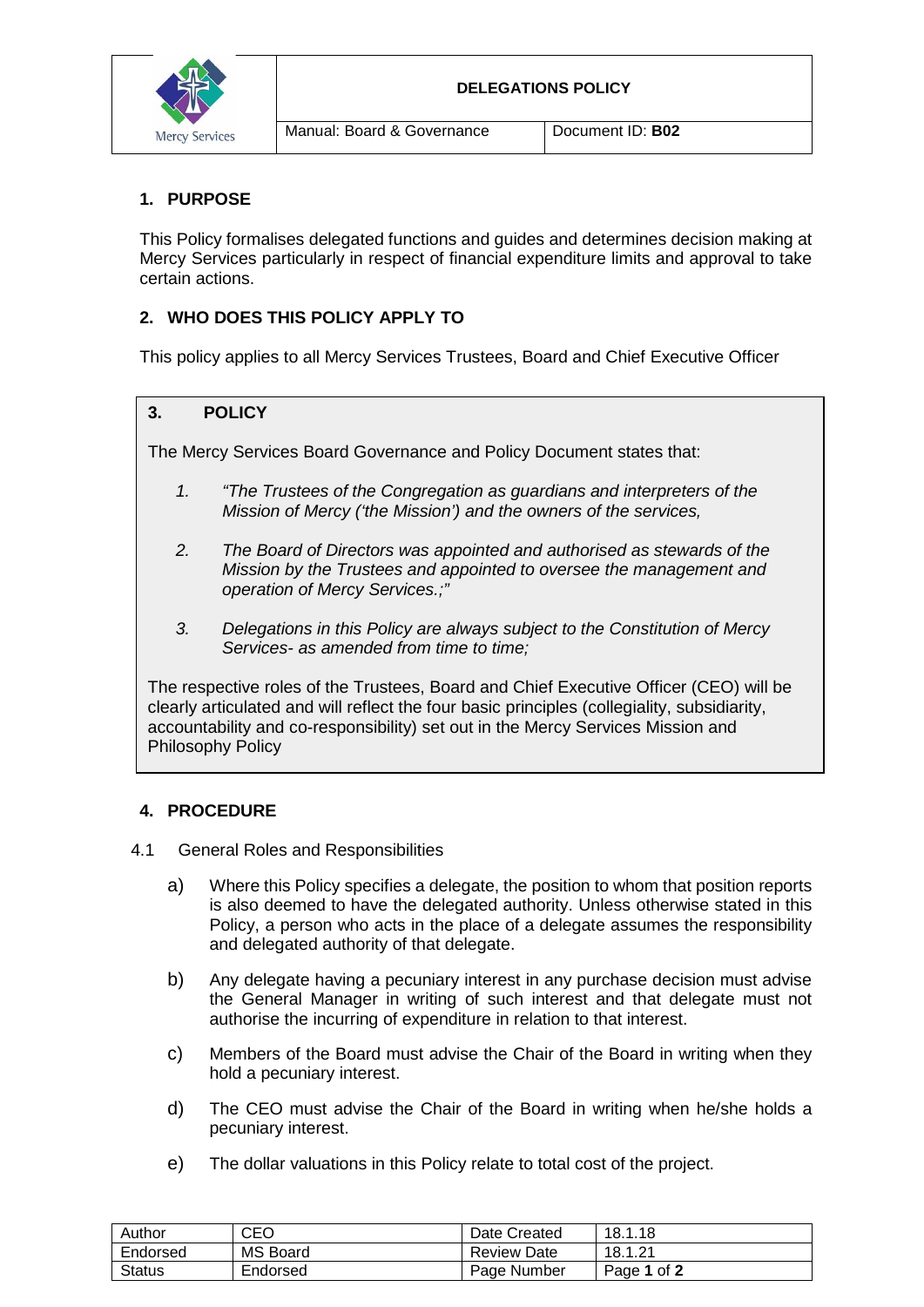

#### **DELEGATIONS POLICY**

Manual: Board & Governance Document ID: **B02** 

## **1. PURPOSE**

This Policy formalises delegated functions and guides and determines decision making at Mercy Services particularly in respect of financial expenditure limits and approval to take certain actions.

## **2. WHO DOES THIS POLICY APPLY TO**

This policy applies to all Mercy Services Trustees, Board and Chief Executive Officer

## **3. POLICY**

The Mercy Services Board Governance and Policy Document states that:

- *1. "The Trustees of the Congregation as guardians and interpreters of the Mission of Mercy ('the Mission') and the owners of the services,*
- *2. The Board of Directors was appointed and authorised as stewards of the Mission by the Trustees and appointed to oversee the management and operation of Mercy Services.;"*
- *3. Delegations in this Policy are always subject to the Constitution of Mercy Services- as amended from time to time;*

The respective roles of the Trustees, Board and Chief Executive Officer (CEO) will be clearly articulated and will reflect the four basic principles (collegiality, subsidiarity, accountability and co-responsibility) set out in the Mercy Services Mission and Philosophy Policy

### **4. PROCEDURE**

- 4.1 General Roles and Responsibilities
	- a) Where this Policy specifies a delegate, the position to whom that position reports is also deemed to have the delegated authority. Unless otherwise stated in this Policy, a person who acts in the place of a delegate assumes the responsibility and delegated authority of that delegate.
	- b) Any delegate having a pecuniary interest in any purchase decision must advise the General Manager in writing of such interest and that delegate must not authorise the incurring of expenditure in relation to that interest.
	- c) Members of the Board must advise the Chair of the Board in writing when they hold a pecuniary interest.
	- d) The CEO must advise the Chair of the Board in writing when he/she holds a pecuniary interest.
	- e) The dollar valuations in this Policy relate to total cost of the project.

| Author   | CEO             | Date Created       | 18.1.18     |
|----------|-----------------|--------------------|-------------|
| Endorsed | <b>MS Board</b> | <b>Review Date</b> | 18.1.21     |
| Status   | Endorsed        | Page Number        | Page 1 of 2 |